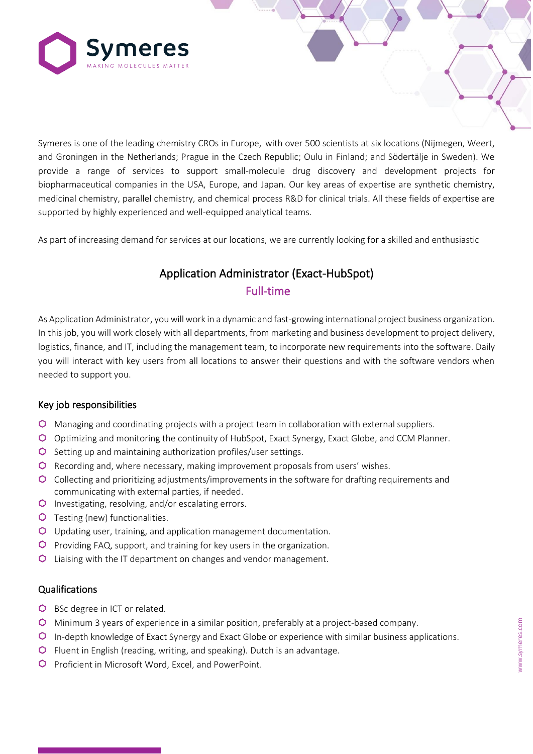

Symeres is one of the leading chemistry CROs in Europe, with over 500 scientists at six locations (Nijmegen, Weert, and Groningen in the Netherlands; Prague in the Czech Republic; Oulu in Finland; and Södertälje in Sweden). We provide a range of services to support small-molecule drug discovery and development projects for biopharmaceutical companies in the USA, Europe, and Japan. Our key areas of expertise are synthetic chemistry, medicinal chemistry, parallel chemistry, and chemical process R&D for clinical trials. All these fields of expertise are supported by highly experienced and well-equipped analytical teams.

As part of increasing demand for services at our locations, we are currently looking for a skilled and enthusiastic

# Application Administrator (Exact-HubSpot) Full-time

As Application Administrator, you will work in a dynamic and fast-growing international project business organization. In this job, you will work closely with all departments, from marketing and business development to project delivery, logistics, finance, and IT, including the management team, to incorporate new requirements into the software. Daily you will interact with key users from all locations to answer their questions and with the software vendors when needed to support you.

### Key job responsibilities

- Managing and coordinating projects with a project team in collaboration with external suppliers.
- Optimizing and monitoring the continuity of HubSpot, Exact Synergy, Exact Globe, and CCM Planner.
- $\bullet$  Setting up and maintaining authorization profiles/user settings.
- Recording and, where necessary, making improvement proposals from users' wishes.
- Collecting and prioritizing adjustments/improvements in the software for drafting requirements and communicating with external parties, if needed.
- **O** Investigating, resolving, and/or escalating errors.
- **O** Testing (new) functionalities.
- Updating user, training, and application management documentation.
- $\bullet$  Providing FAQ, support, and training for key users in the organization.
- Liaising with the IT department on changes and vendor management.

### **Qualifications**

- **O** BSc degree in ICT or related.
- Minimum 3 years of experience in a similar position, preferably at a project-based company.
- In-depth knowledge of Exact Synergy and Exact Globe or experience with similar business applications.
- Fluent in English (reading, writing, and speaking). Dutch is an advantage.
- **O** Proficient in Microsoft Word, Excel, and PowerPoint.

C O N F I D E N